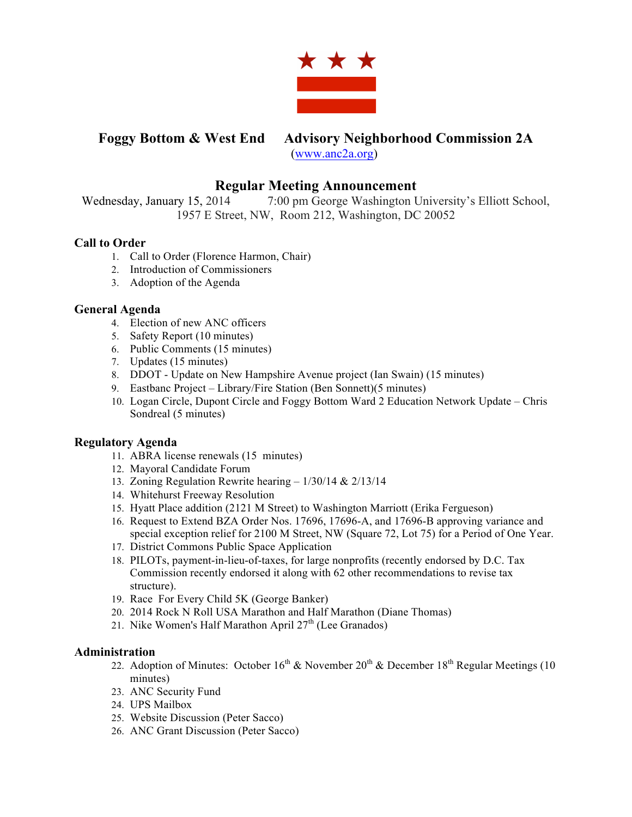

# **Foggy Bottom & West End Advisory Neighborhood Commission 2A**

(www.anc2a.org)

# **Regular Meeting Announcement**

Wednesday, January 15, 2014 7:00 pm George Washington University's Elliott School, 1957 E Street, NW, Room 212, Washington, DC 20052

### **Call to Order**

- 1. Call to Order (Florence Harmon, Chair)
- 2. Introduction of Commissioners
- 3. Adoption of the Agenda

#### **General Agenda**

- 4. Election of new ANC officers
- 5. Safety Report (10 minutes)
- 6. Public Comments (15 minutes)
- 7. Updates (15 minutes)
- 8. DDOT Update on New Hampshire Avenue project (Ian Swain) (15 minutes)
- 9. Eastbanc Project Library/Fire Station (Ben Sonnett)(5 minutes)
- 10. Logan Circle, Dupont Circle and Foggy Bottom Ward 2 Education Network Update Chris Sondreal (5 minutes)

## **Regulatory Agenda**

- 11. ABRA license renewals (15 minutes)
- 12. Mayoral Candidate Forum
- 13. Zoning Regulation Rewrite hearing 1/30/14 & 2/13/14
- 14. Whitehurst Freeway Resolution
- 15. Hyatt Place addition (2121 M Street) to Washington Marriott (Erika Fergueson)
- 16. Request to Extend BZA Order Nos. 17696, 17696-A, and 17696-B approving variance and special exception relief for 2100 M Street, NW (Square 72, Lot 75) for a Period of One Year.
- 17. District Commons Public Space Application
- 18. PILOTs, payment-in-lieu-of-taxes, for large nonprofits (recently endorsed by D.C. Tax Commission recently endorsed it along with 62 other recommendations to revise tax structure).
- 19. Race For Every Child 5K (George Banker)
- 20. 2014 Rock N Roll USA Marathon and Half Marathon (Diane Thomas)
- 21. Nike Women's Half Marathon April  $27<sup>th</sup>$  (Lee Granados)

#### **Administration**

- 22. Adoption of Minutes: October  $16^{th}$  & November  $20^{th}$  & December  $18^{th}$  Regular Meetings (10) minutes)
- 23. ANC Security Fund
- 24. UPS Mailbox
- 25. Website Discussion (Peter Sacco)
- 26. ANC Grant Discussion (Peter Sacco)